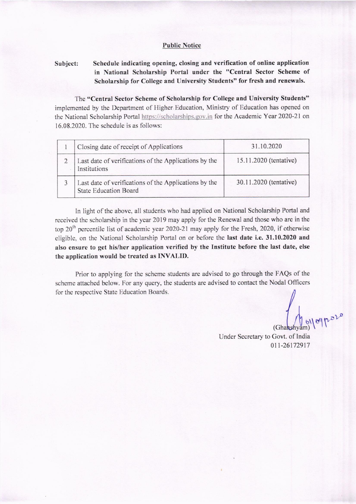## **Public Notice**

# Subject: Schedule indicating opening, closing and verification of online application in National Scholarship Portal under the "Ccntral Sector Scheme of Scholarship for College and University Students" for fresh and renewals.

The "Central Sector Scheme of Scholarship for College and University Students" implemented by the Department of Higher Education, Ministry of Education has opened on the National Scholarship Portal https://scholarships.gov.in for the Academic Year 2020-21 on  $16.08.2020$ . The schedule is as follows:

| Closing date of receipt of Applications                                               | 31.10.2020             |
|---------------------------------------------------------------------------------------|------------------------|
| Last date of verifications of the Applications by the<br>Institutions                 | 15.11.2020 (tentative) |
| Last date of verifications of the Applications by the<br><b>State Education Board</b> | 30.11.2020 (tentative) |

In light of the above, all students who had applied on National Scholarship Portal and received the scholarship in the year 2019 may apply for the Renewal and those who are in the top 20<sup>th</sup> percentile list of academic year 2020-21 may apply for the Fresh, 2020, if otherwise cligiblc, on the National Scholarship Portal on or bcforc thc last date i.e.31.10.2020 and also ensure to get his/her application verified by the Institute before the last date, else the application would be treated as INVALID.

Prior to applying for the scheme students are advised to go through the FAQs of the scheme attached below. For any query, the students are advised to contact the Nodal Officers for the respective State Education Boards.

 $\int_0^{\infty}$  (Ghanshyam) )

Under Secretary to Govt. of India 011-26172917